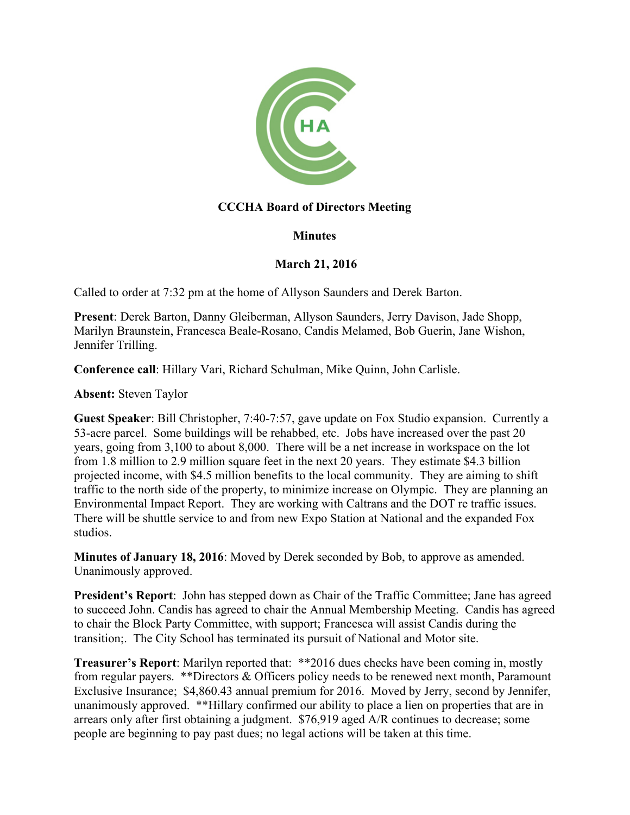

# **CCCHA Board of Directors Meeting**

## **Minutes**

## **March 21, 2016**

Called to order at 7:32 pm at the home of Allyson Saunders and Derek Barton.

**Present**: Derek Barton, Danny Gleiberman, Allyson Saunders, Jerry Davison, Jade Shopp, Marilyn Braunstein, Francesca Beale-Rosano, Candis Melamed, Bob Guerin, Jane Wishon, Jennifer Trilling.

**Conference call**: Hillary Vari, Richard Schulman, Mike Quinn, John Carlisle.

**Absent:** Steven Taylor

**Guest Speaker**: Bill Christopher, 7:40-7:57, gave update on Fox Studio expansion. Currently a 53-acre parcel. Some buildings will be rehabbed, etc. Jobs have increased over the past 20 years, going from 3,100 to about 8,000. There will be a net increase in workspace on the lot from 1.8 million to 2.9 million square feet in the next 20 years. They estimate \$4.3 billion projected income, with \$4.5 million benefits to the local community. They are aiming to shift traffic to the north side of the property, to minimize increase on Olympic. They are planning an Environmental Impact Report. They are working with Caltrans and the DOT re traffic issues. There will be shuttle service to and from new Expo Station at National and the expanded Fox studios.

**Minutes of January 18, 2016**: Moved by Derek seconded by Bob, to approve as amended. Unanimously approved.

**President's Report**: John has stepped down as Chair of the Traffic Committee; Jane has agreed to succeed John. Candis has agreed to chair the Annual Membership Meeting. Candis has agreed to chair the Block Party Committee, with support; Francesca will assist Candis during the transition;. The City School has terminated its pursuit of National and Motor site.

**Treasurer's Report**: Marilyn reported that: \*\*2016 dues checks have been coming in, mostly from regular payers. \*\*Directors & Officers policy needs to be renewed next month, Paramount Exclusive Insurance; \$4,860.43 annual premium for 2016. Moved by Jerry, second by Jennifer, unanimously approved. \*\*Hillary confirmed our ability to place a lien on properties that are in arrears only after first obtaining a judgment. \$76,919 aged A/R continues to decrease; some people are beginning to pay past dues; no legal actions will be taken at this time.